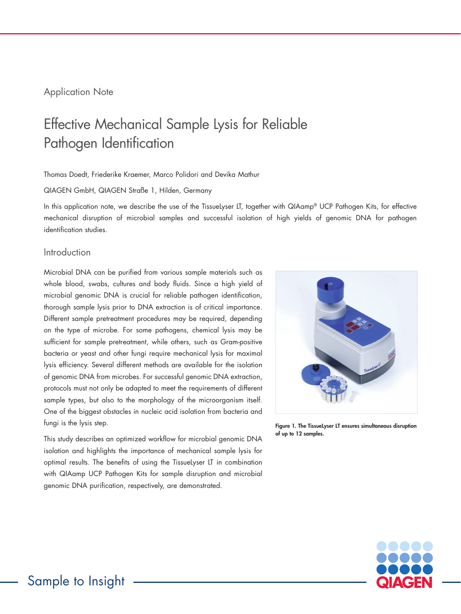# Application Note

# Effective Mechanical Sample Lysis for Reliable Pathogen Identification

#### Thomas Doedt, Friederike Kraemer, Marco Polidori and Devika Mathur

#### QIAGEN GmbH, QIAGEN Straße 1, Hilden, Germany

In this application note, we describe the use of the TissueLyser LT, together with QIAamp® UCP Pathogen Kits, for effective mechanical disruption of microbial samples and successful isolation of high yields of genomic DNA for pathogen identification studies.

## Introduction

Microbial DNA can be purified from various sample materials such as whole blood, swabs, cultures and body fluids. Since a high yield of microbial genomic DNA is crucial for reliable pathogen identification, thorough sample lysis prior to DNA extraction is of critical importance. Different sample pretreatment procedures may be required, depending on the type of microbe. For some pathogens, chemical lysis may be sufficient for sample pretreatment, while others, such as Gram-positive bacteria or yeast and other fungi require mechanical lysis for maximal lysis efficiency. Several different methods are available for the isolation of genomic DNA from microbes. For successful genomic DNA extraction, protocols must not only be adapted to meet the requirements of different sample types, but also to the morphology of the microorganism itself. One of the biggest obstacles in nucleic acid isolation from bacteria and fungi is the lysis step.

This study describes an optimized workflow for microbial genomic DNA isolation and highlights the importance of mechanical sample lysis for optimal results. The benefits of using the TissueLyser LT in combination with QIAamp UCP Pathogen Kits for sample disruption and microbial genomic DNA purification, respectively, are demonstrated.



Figure 1. The TissueLyser LT ensures simultaneous disruption of up to 12 samples.

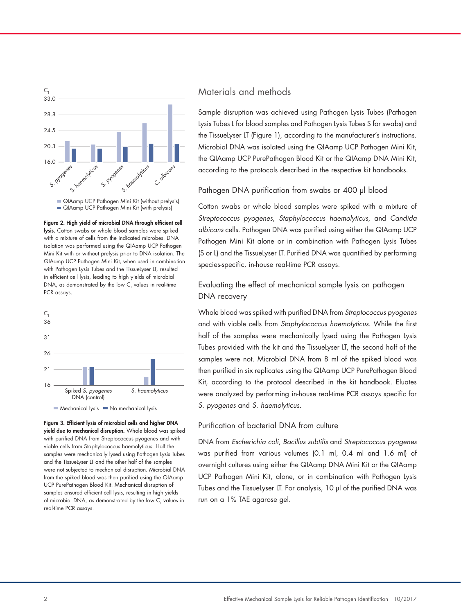



Figure 2. High yield of microbial DNA through efficient cell lysis. Cotton swabs or whole blood samples were spiked with a mixture of cells from the indicated microbes. DNA isolation was performed using the QIAamp UCP Pathogen Mini Kit with or without prelysis prior to DNA isolation. The QIAamp UCP Pathogen Mini Kit, when used in combination with Pathogen Lysis Tubes and the TissueLyser LT, resulted in efficient cell lysis, leading to high yields of microbial DNA, as demonstrated by the low  $\mathsf{C}_\mathsf{\tau}$  values in real-time PCR assays.



Figure 3. Efficient lysis of microbial cells and higher DNA yield due to mechanical disruption. Whole blood was spiked with purified DNA from Streptococcus pyogenes and with viable cells from Staphylococcus haemolyticus. Half the samples were mechanically lysed using Pathogen Lysis Tubes and the TissueLyser LT and the other half of the samples were not subjected to mechanical disruption. Microbial DNA from the spiked blood was then purified using the QIAamp UCP PurePathogen Blood Kit. Mechanical disruption of samples ensured efficient cell lysis, resulting in high yields of microbial DNA, as demonstrated by the low  $\mathsf{C}_\mathsf{\scriptscriptstyle{T}}$  values in real-time PCR assays.

# Materials and methods

Sample disruption was achieved using Pathogen Lysis Tubes (Pathogen Lysis Tubes L for blood samples and Pathogen Lysis Tubes S for swabs) and the TissueLyser LT (Figure 1), according to the manufacturer's instructions. Microbial DNA was isolated using the QIAamp UCP Pathogen Mini Kit, the QIAamp UCP PurePathogen Blood Kit or the QIAamp DNA Mini Kit, according to the protocols described in the respective kit handbooks.

### Pathogen DNA purification from swabs or 400 µl blood

Cotton swabs or whole blood samples were spiked with a mixture of *Streptococcus pyogenes*, *Staphylococcus haemolyticus*, and *Candida albicans* cells. Pathogen DNA was purified using either the QIAamp UCP Pathogen Mini Kit alone or in combination with Pathogen Lysis Tubes (S or L) and the TissueLyser LT. Purified DNA was quantified by performing species-specific, in-house real-time PCR assays.

## Evaluating the effect of mechanical sample lysis on pathogen DNA recovery

Whole blood was spiked with purified DNA from *Streptococcus pyogenes* and with viable cells from *Staphylococcus haemolyticus*. While the first half of the samples were mechanically lysed using the Pathogen Lysis Tubes provided with the kit and the TissueLyser LT, the second half of the samples were not. Microbial DNA from 8 ml of the spiked blood was then purified in six replicates using the QIAamp UCP PurePathogen Blood Kit, according to the protocol described in the kit handbook. Eluates were analyzed by performing in-house real-time PCR assays specific for *S. pyogenes* and *S. haemolyticus*.

## Purification of bacterial DNA from culture

DNA from *Escherichia coli*, *Bacillus subtilis* and *Streptococcus pyogenes* was purified from various volumes (0.1 ml, 0.4 ml and 1.6 ml) of overnight cultures using either the QIAamp DNA Mini Kit or the QIAamp UCP Pathogen Mini Kit, alone, or in combination with Pathogen Lysis Tubes and the TissueLyser LT. For analysis, 10 µl of the purified DNA was run on a 1% TAE agarose gel.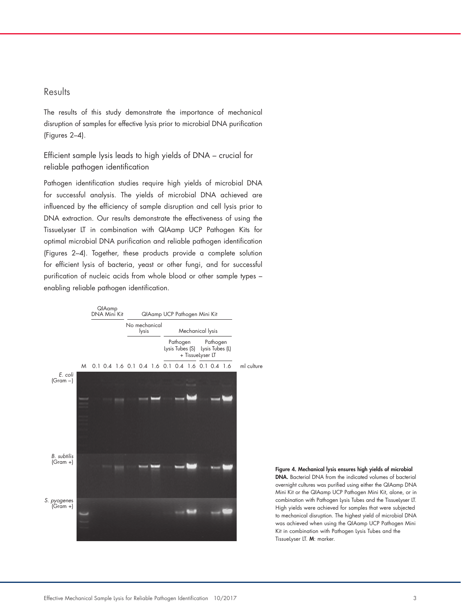## Results

The results of this study demonstrate the importance of mechanical disruption of samples for effective lysis prior to microbial DNA purification (Figures 2–4).

Efficient sample lysis leads to high yields of DNA – crucial for reliable pathogen identification

Pathogen identification studies require high yields of microbial DNA for successful analysis. The yields of microbial DNA achieved are influenced by the efficiency of sample disruption and cell lysis prior to DNA extraction. Our results demonstrate the effectiveness of using the TissueLyser LT in combination with QIAamp UCP Pathogen Kits for optimal microbial DNA purification and reliable pathogen identification (Figures 2–4). Together, these products provide a complete solution for efficient lysis of bacteria, yeast or other fungi, and for successful purification of nucleic acids from whole blood or other sample types – enabling reliable pathogen identification.



Figure 4. Mechanical lysis ensures high yields of microbial DNA. Bacterial DNA from the indicated volumes of bacterial overnight cultures was purified using either the QIAamp DNA Mini Kit or the QIAamp UCP Pathogen Mini Kit, alone, or in combination with Pathogen Lysis Tubes and the TissueLyser LT. High yields were achieved for samples that were subjected to mechanical disruption. The highest yield of microbial DNA was achieved when using the QIAamp UCP Pathogen Mini Kit in combination with Pathogen Lysis Tubes and the TissueLyser LT. M: marker.